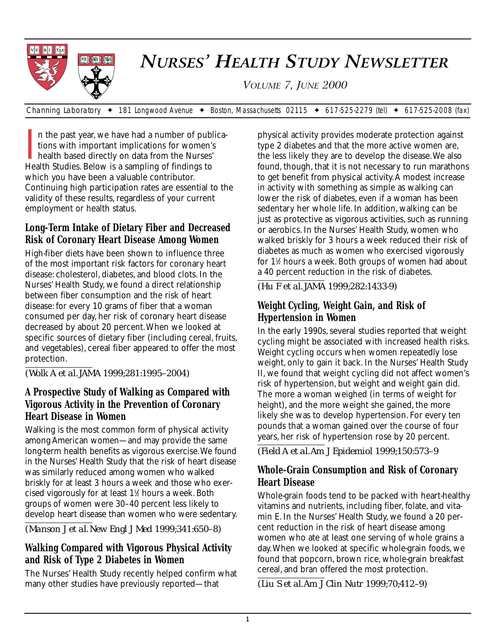

# *NURSES' HEALTH STUDY NEWSLETTER*

*VOLUME 7, JUNE 2000*

*Channing Laboratory* ✦ *181 Longwood Avenue* ✦ *Boston, Massachusetts 02115* ✦ *617-525-2279 (tel)* ✦ *617-525-2008 (fax)*

I<br>Hea n the past year, we have had a number of publications with important implications for women's health based directly on data from the Nurses' Health Studies. Below is a sampling of findings to which you have been a valuable contributor. Continuing high participation rates are essential to the validity of these results, regardless of your current employment or health status.

### **Long-Term Intake of Dietary Fiber and Decreased Risk of Coronary Heart Disease Among Women**

High-fiber diets have been shown to influence three of the most important risk factors for coronary heart disease: cholesterol, diabetes, and blood clots. In the Nurses' Health Study, we found a direct relationship between fiber consumption and the risk of heart disease: for every 10 grams of fiber that a woman consumed per day, her risk of coronary heart disease decreased by about 20 percent.When we looked at specific sources of dietary fiber (including cereal, fruits, and vegetables), cereal fiber appeared to offer the most protection.

*(Wolk A et al. JAMA 1999;281:1995–2004)* 

# **A Prospective Study of Walking as Compared with Vigorous Activity in the Prevention of Coronary Heart Disease in Women**

Walking is the most common form of physical activity among American women—and may provide the same long-term health benefits as vigorous exercise.We found in the Nurses' Health Study that the risk of heart disease was similarly reduced among women who walked briskly for at least 3 hours a week and those who exercised vigorously for at least 11 ⁄2 hours a week. Both groups of women were 30–40 percent less likely to develop heart disease than women who were sedentary.

*(Manson J et al. New Engl J Med 1999;341:650–8)*

### **Walking Compared with Vigorous Physical Activity and Risk of Type 2 Diabetes in Women**

The Nurses' Health Study recently helped confirm what many other studies have previously reported—that

physical activity provides moderate protection against type 2 diabetes and that the more active women are, the less likely they are to develop the disease.We also found, though, that it is not necessary to run marathons to get benefit from physical activity.A modest increase in activity with something as simple as walking can lower the risk of diabetes, even if a woman has been sedentary her whole life. In addition, walking can be just as protective as vigorous activities, such as running or aerobics. In the Nurses' Health Study, women who walked briskly for 3 hours a week reduced their risk of diabetes as much as women who exercised vigorously for 11 ⁄2 hours a week. Both groups of women had about a 40 percent reduction in the risk of diabetes.

*(Hu F et al. JAMA 1999;282:1433-9)*

# **Weight Cycling, Weight Gain, and Risk of Hypertension in Women**

In the early 1990s, several studies reported that weight cycling might be associated with increased health risks. Weight cycling occurs when women repeatedly lose weight, only to gain it back. In the Nurses' Health Study II, we found that weight cycling did not affect women's risk of hypertension, but weight and weight gain did. The more a woman weighed (in terms of weight for height), and the more weight she gained, the more likely she was to develop hypertension. For every ten pounds that a woman gained over the course of four years, her risk of hypertension rose by 20 percent.

*(Field A et al.Am J Epidemiol 1999;150:573–9*

### **Whole-Grain Consumption and Risk of Coronary Heart Disease**

Whole-grain foods tend to be packed with heart-healthy vitamins and nutrients, including fiber, folate, and vitamin E. In the Nurses' Health Study, we found a 20 percent reduction in the risk of heart disease among women who ate at least one serving of whole grains a day.When we looked at specific whole-grain foods, we found that popcorn, brown rice, whole-grain breakfast cereal, and bran offered the most protection.

*(Liu S et al.Am J Clin Nutr 1999;70;412–9)*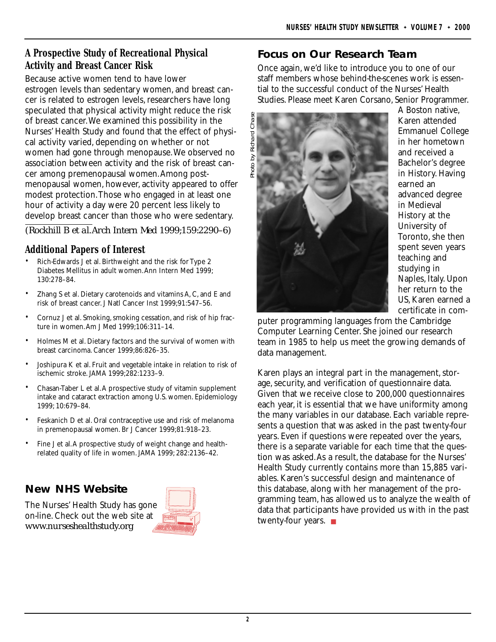### **A Prospective Study of Recreational Physical Activity and Breast Cancer Risk**

Because active women tend to have lower estrogen levels than sedentary women, and breast cancer is related to estrogen levels, researchers have long speculated that physical activity might reduce the risk of breast cancer.We examined this possibility in the Nurses' Health Study and found that the effect of physical activity varied, depending on whether or not women had gone through menopause.We observed no association between activity and the risk of breast cancer among premenopausal women.Among postmenopausal women, however, activity appeared to offer modest protection.Those who engaged in at least one hour of activity a day were 20 percent less likely to develop breast cancer than those who were sedentary.

*(Rockhill B et al.Arch Intern Med 1999;159:2290–6)*

### **Additional Papers of Interest**

- Rich-Edwards J et al. Birthweight and the risk for Type 2 Diabetes Mellitus in adult women.Ann Intern Med 1999; 130:278–84.
- Zhang S et al. Dietary carotenoids and vitamins A, C, and E and risk of breast cancer. J Natl Cancer Inst 1999;91:547–56.
- Cornuz J et al. Smoking, smoking cessation, and risk of hip fracture in women.Am J Med 1999;106:311–14.
- Holmes M et al. Dietary factors and the survival of women with breast carcinoma. Cancer 1999;86:826–35.
- Joshipura K et al. Fruit and vegetable intake in relation to risk of ischemic stroke. JAMA 1999;282:1233–9.
- Chasan-Taber L et al.A prospective study of vitamin supplement intake and cataract extraction among U.S. women. Epidemiology 1999; 10:679–84.
- Feskanich D et al. Oral contraceptive use and risk of melanoma in premenopausal women. Br J Cancer 1999;81:918–23.
- Fine J et al.A prospective study of weight change and healthrelated quality of life in women. JAMA 1999; 282:2136–42.

# **New NHS Website**

The Nurses' Health Study has gone on-line. Check out the web site at *www.nurseshealthstudy.org*



### **Focus on Our Research Team**

Once again, we'd like to introduce you to one of our staff members whose behind-the-scenes work is essential to the successful conduct of the Nurses' Health Studies. Please meet Karen Corsano, Senior Programmer.



A Boston native, Karen attended Emmanuel College in her hometown and received a Bachelor's degree in History. Having earned an advanced degree in Medieval History at the University of Toronto, she then spent seven years teaching and studying in Naples, Italy. Upon her return to the US, Karen earned a certificate in com-

puter programming languages from the Cambridge Computer Learning Center. She joined our research team in 1985 to help us meet the growing demands of data management.

Karen plays an integral part in the management, storage, security, and verification of questionnaire data. Given that we receive close to 200,000 questionnaires each year, it is essential that we have uniformity among the many variables in our database. Each variable represents a question that was asked in the past twenty-four years. Even if questions were repeated over the years, there is a separate variable for each time that the question was asked.As a result, the database for the Nurses' Health Study currently contains more than 15,885 variables. Karen's successful design and maintenance of this database, along with her management of the programming team, has allowed us to analyze the wealth of data that participants have provided us with in the past twenty-four years. ■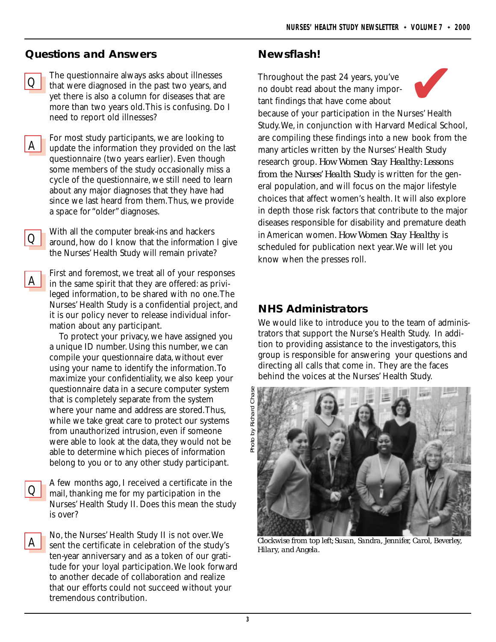#### **Questions and Answers**

 $\underline{\mathsf{A}}$ 

 $\overline{O}$ 

 $\underline{\mathsf{A}}$ 

 $\overline{O}$ 

 $\underline{\mathsf{A}}$ 

The questionnaire always asks about illnesses that were diagnosed in the past two years, and yet there is also a column for diseases that are more than two years old.This is confusing. Do I need to report old illnesses?  $\overline{O}$ 

For most study participants, we are looking to update the information they provided on the last questionnaire (two years earlier). Even though some members of the study occasionally miss a cycle of the questionnaire, we still need to learn about any major diagnoses that they have had since we last heard from them.Thus, we provide a space for "older" diagnoses.

With all the computer break-ins and hackers around, how do I know that the information I give the Nurses' Health Study will remain private?

First and foremost, we treat all of your responses in the same spirit that they are offered: as privileged information, to be shared with no one.The Nurses' Health Study is a confidential project, and it is our policy never to release individual information about any participant.

To protect your privacy, we have assigned you a unique ID number. Using this number, we can compile your questionnaire data, without ever using your name to identify the information.To maximize your confidentiality, we also keep your questionnaire data in a secure computer system that is completely separate from the system where your name and address are stored.Thus, while we take great care to protect our systems from unauthorized intrusion, even if someone were able to look at the data, they would not be able to determine which pieces of information belong to you or to any other study participant.

A few months ago, I received a certificate in the mail, thanking me for my participation in the Nurses' Health Study II. Does this mean the study is over?

No, the Nurses' Health Study II is not over.We sent the certificate in celebration of the study's ten-year anniversary and as a token of our gratitude for your loyal participation.We look forward to another decade of collaboration and realize that our efforts could not succeed without your tremendous contribution.

#### **Newsflash!**

Throughout the past 24 years, you've no doubt read about the many important findings that have come about



because of your participation in the Nurses' Health Study.We, in conjunction with Harvard Medical School, are compiling these findings into a new book from the many articles written by the Nurses' Health Study research group. *How Women Stay Healthy: Lessons from the Nurses' Health Study* is written for the general population, and will focus on the major lifestyle choices that affect women's health. It will also explore in depth those risk factors that contribute to the major diseases responsible for disability and premature death in American women. *How Women Stay Healthy* is scheduled for publication next year.We will let you know when the presses roll.

#### **NHS Administrators**

We would like to introduce you to the team of administrators that support the Nurse's Health Study. In addition to providing assistance to the investigators, this group is responsible for answering your questions and directing all calls that come in. They are the faces behind the voices at the Nurses' Health Study.



*Clockwise from top left; Susan, Sandra, Jennifer, Carol, Beverley, Hilary, and Angela.*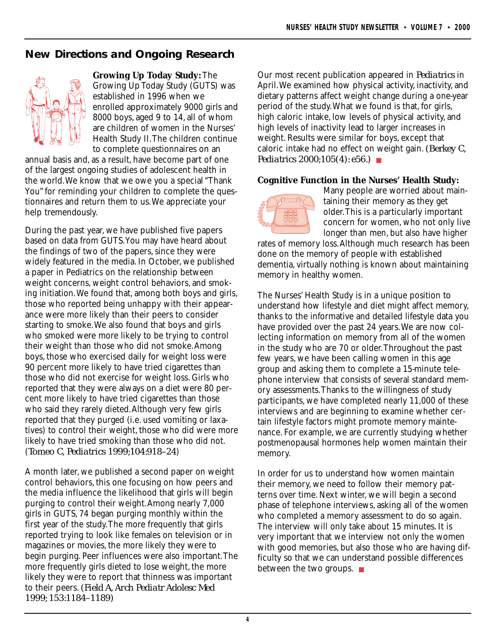# **New Directions and Ongoing Research**



**Growing Up Today Study:** The Growing Up Today Study (GUTS) was established in 1996 when we enrolled approximately 9000 girls and 8000 boys, aged 9 to 14, all of whom are children of women in the Nurses' Health Study II.The children continue to complete questionnaires on an

annual basis and, as a result, have become part of one of the largest ongoing studies of adolescent health in the world.We know that we owe you a special "Thank You" for reminding your children to complete the questionnaires and return them to us.We appreciate your help tremendously.

During the past year, we have published five papers based on data from GUTS.You may have heard about the findings of two of the papers, since they were widely featured in the media. In October, we published a paper in Pediatrics on the relationship between weight concerns, weight control behaviors, and smoking initiation.We found that, among both boys and girls, those who reported being unhappy with their appearance were more likely than their peers to consider starting to smoke.We also found that boys and girls who smoked were more likely to be trying to control their weight than those who did not smoke.Among boys, those who exercised daily for weight loss were 90 percent more likely to have tried cigarettes than those who did not exercise for weight loss. Girls who reported that they were always on a diet were 80 percent more likely to have tried cigarettes than those who said they rarely dieted.Although very few girls reported that they purged (i.e. used vomiting or laxatives) to control their weight, those who did were more likely to have tried smoking than those who did not. (*Tomeo C, Pediatrics 1999;104:918–24*)

A month later, we published a second paper on weight control behaviors, this one focusing on how peers and the media influence the likelihood that girls will begin purging to control their weight.Among nearly 7,000 girls in GUTS, 74 began purging monthly within the first year of the study.The more frequently that girls reported trying to look like females on television or in magazines or movies, the more likely they were to begin purging. Peer influences were also important.The more frequently girls dieted to lose weight, the more likely they were to report that thinness was important to their peers. *(Field A, Arch Pediatr Adolesc Med 1999; 153:1184–1189)*

Our most recent publication appeared in *Pediatrics* in April.We examined how physical activity, inactivity, and dietary patterns affect weight change during a one-year period of the study.What we found is that, for girls, high caloric intake, low levels of physical activity, and high levels of inactivity lead to larger increases in weight. Results were similar for boys, except that caloric intake had no effect on weight gain. *(Berkey C, Pediatrics 2000;105(4): e56.)* ■

#### **Cognitive Function in the Nurses' Health Study:**



Many people are worried about maintaining their memory as they get older.This is a particularly important concern for women, who not only live longer than men, but also have higher

rates of memory loss.Although much research has been done on the memory of people with established dementia, virtually nothing is known about maintaining memory in healthy women.

The Nurses' Health Study is in a unique position to understand how lifestyle and diet might affect memory, thanks to the informative and detailed lifestyle data you have provided over the past 24 years.We are now collecting information on memory from all of the women in the study who are 70 or older.Throughout the past few years, we have been calling women in this age group and asking them to complete a 15-minute telephone interview that consists of several standard memory assessments.Thanks to the willingness of study participants, we have completed nearly 11,000 of these interviews and are beginning to examine whether certain lifestyle factors might promote memory maintenance. For example, we are currently studying whether postmenopausal hormones help women maintain their memory.

In order for us to understand how women maintain their memory, we need to follow their memory patterns over time. Next winter, we will begin a second phase of telephone interviews, asking all of the women who completed a memory assessment to do so again. The interview will only take about 15 minutes. It is very important that we interview not only the women with good memories, but also those who are having difficulty so that we can understand possible differences between the two groups. ■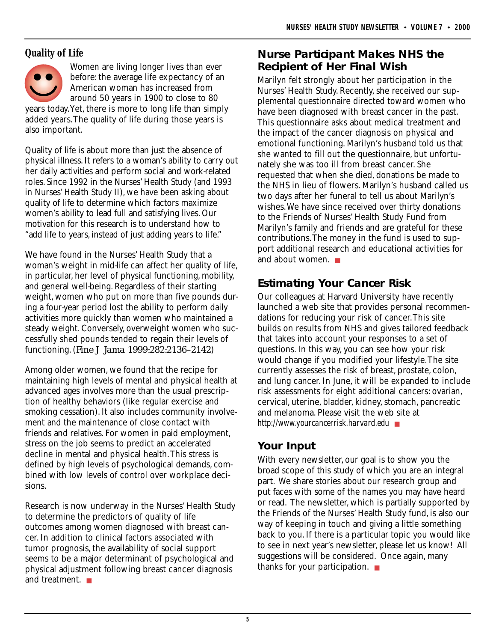### **Quality of Life**



Women are living longer lives than ever before: the average life expectancy of an American woman has increased from around 50 years in 1900 to close to 80

years today.Yet, there is more to long life than simply added years.The quality of life during those years is also important.

Quality of life is about more than just the absence of physical illness. It refers to a woman's ability to carry out her daily activities and perform social and work-related roles. Since 1992 in the Nurses' Health Study (and 1993 in Nurses' Health Study II), we have been asking about quality of life to determine which factors maximize women's ability to lead full and satisfying lives. Our motivation for this research is to understand how to "add life to years, instead of just adding years to life."

We have found in the Nurses' Health Study that a woman's weight in mid-life can affect her quality of life, in particular, her level of physical functioning, mobility, and general well-being. Regardless of their starting weight, women who put on more than five pounds during a four-year period lost the ability to perform daily activities more quickly than women who maintained a steady weight. Conversely, overweight women who successfully shed pounds tended to regain their levels of functioning. (*Fine J Jama 1999:282:2136–2142*)

Among older women, we found that the recipe for maintaining high levels of mental and physical health at advanced ages involves more than the usual prescription of healthy behaviors (like regular exercise and smoking cessation). It also includes community involvement and the maintenance of close contact with friends and relatives. For women in paid employment, stress on the job seems to predict an accelerated decline in mental and physical health.This stress is defined by high levels of psychological demands, combined with low levels of control over workplace decisions.

Research is now underway in the Nurses' Health Study to determine the predictors of quality of life outcomes among women diagnosed with breast cancer. In addition to clinical factors associated with tumor prognosis, the availability of social support seems to be a major determinant of psychological and physical adjustment following breast cancer diagnosis and treatment. ■

# **Nurse Participant Makes NHS the Recipient of Her Final Wish**

Marilyn felt strongly about her participation in the Nurses' Health Study. Recently, she received our supplemental questionnaire directed toward women who have been diagnosed with breast cancer in the past. This questionnaire asks about medical treatment and the impact of the cancer diagnosis on physical and emotional functioning. Marilyn's husband told us that she wanted to fill out the questionnaire, but unfortunately she was too ill from breast cancer. She requested that when she died, donations be made to the NHS in lieu of flowers. Marilyn's husband called us two days after her funeral to tell us about Marilyn's wishes.We have since received over thirty donations to the Friends of Nurses' Health Study Fund from Marilyn's family and friends and are grateful for these contributions.The money in the fund is used to support additional research and educational activities for and about women. ■

# **Estimating Your Cancer Risk**

Our colleagues at Harvard University have recently launched a web site that provides personal recommendations for reducing your risk of cancer.This site builds on results from NHS and gives tailored feedback that takes into account your responses to a set of questions. In this way, you can see how your risk would change if you modified your lifestyle.The site currently assesses the risk of breast, prostate, colon, and lung cancer. In June, it will be expanded to include risk assessments for eight additional cancers: ovarian, cervical, uterine, bladder, kidney, stomach, pancreatic and melanoma. Please visit the web site at *http://www.yourcancerrisk.harvard.edu* ■

# **Your Input**

With every newsletter, our goal is to show you the broad scope of this study of which you are an integral part. We share stories about our research group and put faces with some of the names you may have heard or read. The newsletter, which is partially supported by the Friends of the Nurses' Health Study fund, is also our way of keeping in touch and giving a little something back to you. If there is a particular topic you would like to see in next year's newsletter, please let us know! All suggestions will be considered. Once again, many thanks for your participation. ■